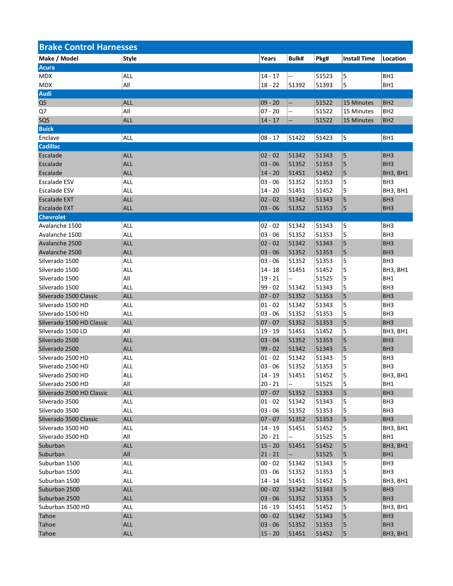| <b>Brake Control Harnesses</b> |              |           |       |       |                     |                 |  |
|--------------------------------|--------------|-----------|-------|-------|---------------------|-----------------|--|
| Make / Model                   | <b>Style</b> | Years     | Bulk# | Pkg#  | <b>Install Time</b> | Location        |  |
| <b>Acura</b>                   |              |           |       |       |                     |                 |  |
| MDX                            | <b>ALL</b>   | $14 - 17$ | --    | 51523 | 5                   | BH1             |  |
| <b>MDX</b>                     | All          | $18 - 22$ | 51392 | 51393 | 5                   | BH1             |  |
| <b>Audi</b>                    |              |           |       |       |                     |                 |  |
| Q <sub>5</sub>                 | <b>ALL</b>   | $09 - 20$ | --    | 51522 | 15 Minutes          | BH <sub>2</sub> |  |
| Q7                             | All          | $07 - 20$ | --    | 51522 | 15 Minutes          | BH <sub>2</sub> |  |
| SQ <sub>5</sub>                | <b>ALL</b>   | $14 - 17$ | --    | 51522 | 15 Minutes          | BH <sub>2</sub> |  |
| <b>Buick</b>                   |              |           |       |       |                     |                 |  |
| Enclave                        | <b>ALL</b>   | $08 - 17$ | 51422 | 51423 | 5                   | BH1             |  |
| <b>Cadillac</b>                |              |           |       |       |                     |                 |  |
| Escalade                       | <b>ALL</b>   |           | 51342 | 51343 | 5                   | BH <sub>3</sub> |  |
|                                |              | $02 - 02$ |       |       |                     |                 |  |
| Escalade                       | <b>ALL</b>   | $03 - 06$ | 51352 | 51353 | 5                   | BH <sub>3</sub> |  |
| Escalade                       | <b>ALL</b>   | $14 - 20$ | 51451 | 51452 | 5                   | BH3, BH1        |  |
| Escalade ESV                   | <b>ALL</b>   | 03 - 06   | 51352 | 51353 | 5                   | BH <sub>3</sub> |  |
| <b>Escalade ESV</b>            | ALL          | $14 - 20$ | 51451 | 51452 | 5                   | BH3, BH1        |  |
| <b>Escalade EXT</b>            | <b>ALL</b>   | $02 - 02$ | 51342 | 51343 | 5                   | BH <sub>3</sub> |  |
| <b>Escalade EXT</b>            | <b>ALL</b>   | $03 - 06$ | 51352 | 51353 | 5                   | BH <sub>3</sub> |  |
| <b>Chevrolet</b>               |              |           |       |       |                     |                 |  |
| Avalanche 1500                 | <b>ALL</b>   | 02 - 02   | 51342 | 51343 | 5                   | BH3             |  |
| Avalanche 1500                 | <b>ALL</b>   | $03 - 06$ | 51352 | 51353 | 5                   | BH <sub>3</sub> |  |
| Avalanche 2500                 | <b>ALL</b>   | $02 - 02$ | 51342 | 51343 | 5                   | BH <sub>3</sub> |  |
| Avalanche 2500                 | <b>ALL</b>   | $03 - 06$ | 51352 | 51353 | 5                   | BH <sub>3</sub> |  |
| Silverado 1500                 | <b>ALL</b>   | 03 - 06   | 51352 | 51353 | 5                   | BH <sub>3</sub> |  |
| Silverado 1500                 | <b>ALL</b>   | $14 - 18$ | 51451 | 51452 | 5                   | BH3, BH1        |  |
| Silverado 1500                 | All          | $19 - 21$ | -−    | 51525 | 5                   | BH1             |  |
| Silverado 1500                 | <b>ALL</b>   | $99 - 02$ | 51342 | 51343 | 5                   | BH <sub>3</sub> |  |
| Silverado 1500 Classic         | <b>ALL</b>   | $07 - 07$ | 51352 | 51353 | 5                   | BH <sub>3</sub> |  |
| Silverado 1500 HD              | <b>ALL</b>   | $01 - 02$ | 51342 | 51343 | 5                   | BH <sub>3</sub> |  |
| Silverado 1500 HD              | <b>ALL</b>   | $03 - 06$ | 51352 | 51353 | 5                   | BH <sub>3</sub> |  |
| Silverado 1500 HD Classic      | <b>ALL</b>   | $07 - 07$ | 51352 | 51353 | 5                   | BH <sub>3</sub> |  |
| Silverado 1500 LD              | All          | 19 - 19   | 51451 | 51452 | 5                   | BH3, BH1        |  |
| Silverado 2500                 | <b>ALL</b>   | $03 - 04$ | 51352 | 51353 | 5                   | BH <sub>3</sub> |  |
| Silverado 2500                 | <b>ALL</b>   | $99 - 02$ | 51342 | 51343 | 5                   | BH <sub>3</sub> |  |
| Silverado 2500 HD              | <b>ALL</b>   | $01 - 02$ | 51342 | 51343 | 5                   | BH <sub>3</sub> |  |
| Silverado 2500 HD              | <b>ALL</b>   | $03 - 06$ | 51352 | 51353 | 5                   | BH <sub>3</sub> |  |
| Silverado 2500 HD              | ALL          | $14 - 19$ | 51451 | 51452 | 5                   | BH3, BH1        |  |
| Silverado 2500 HD              | All          | $20 - 21$ | Ξ.    | 51525 | 5                   | BH1             |  |
| Silverado 2500 HD Classic      | <b>ALL</b>   | $07 - 07$ | 51352 | 51353 | 5                   | BH <sub>3</sub> |  |
| Silverado 3500                 | ALL          | $01 - 02$ | 51342 | 51343 | 5                   | BH <sub>3</sub> |  |
| Silverado 3500                 | ALL          | $03 - 06$ | 51352 | 51353 | 5                   | BH <sub>3</sub> |  |
| Silverado 3500 Classic         | <b>ALL</b>   | $07 - 07$ | 51352 | 51353 | 5                   | BH <sub>3</sub> |  |
| Silverado 3500 HD              | <b>ALL</b>   | $14 - 19$ | 51451 | 51452 | 5                   | BH3, BH1        |  |
| Silverado 3500 HD              | All          | $20 - 21$ |       | 51525 | 5                   | BH1             |  |
| Suburban                       | <b>ALL</b>   | $15 - 20$ | 51451 | 51452 | 5                   | BH3, BH1        |  |
| Suburban                       | All          | $21 - 21$ |       | 51525 | 5                   | BH1             |  |
| Suburban 1500                  | ALL          | $00 - 02$ | 51342 | 51343 | 5                   | BH <sub>3</sub> |  |
| Suburban 1500                  | ALL          | $03 - 06$ | 51352 | 51353 | 5                   | BH <sub>3</sub> |  |
| Suburban 1500                  | ALL          | $14 - 14$ | 51451 | 51452 | 5                   | BH3, BH1        |  |
|                                |              |           |       |       |                     |                 |  |
| Suburban 2500                  | <b>ALL</b>   | $00 - 02$ | 51342 | 51343 | 5                   | BH <sub>3</sub> |  |
| Suburban 2500                  | <b>ALL</b>   | $03 - 06$ | 51352 | 51353 | 5                   | BH <sub>3</sub> |  |
| Suburban 3500 HD               | ALL          | $16 - 19$ | 51451 | 51452 | 5                   | BH3, BH1        |  |
| Tahoe                          | <b>ALL</b>   | $00 - 02$ | 51342 | 51343 | 5                   | BH <sub>3</sub> |  |
| Tahoe                          | <b>ALL</b>   | $03 - 06$ | 51352 | 51353 | 5                   | BH <sub>3</sub> |  |
| Tahoe                          | <b>ALL</b>   | $15 - 20$ | 51451 | 51452 | 5                   | BH3, BH1        |  |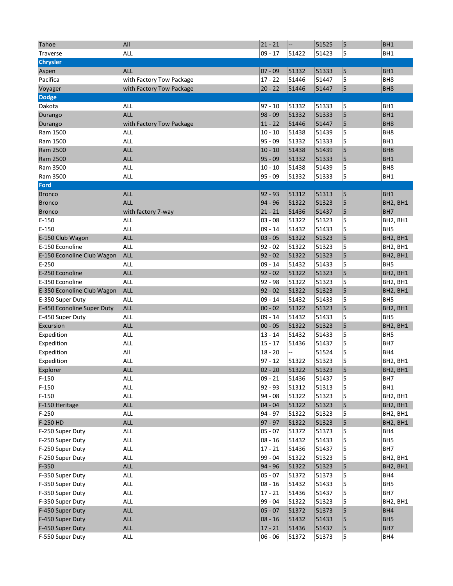| Tahoe                      | All                      | $21 - 21$ | $\overline{\phantom{a}}$ | 51525 | $\vert$ 5      | BH <sub>1</sub> |
|----------------------------|--------------------------|-----------|--------------------------|-------|----------------|-----------------|
| <b>Traverse</b>            | <b>ALL</b>               | $09 - 17$ | 51422                    | 51423 | 5              | BH <sub>1</sub> |
| <b>Chrysler</b>            |                          |           |                          |       |                |                 |
| Aspen                      | <b>ALL</b>               | $07 - 09$ | 51332                    | 51333 | 5              | BH <sub>1</sub> |
| Pacifica                   | with Factory Tow Package | $17 - 22$ | 51446                    | 51447 | 5              | BH <sub>8</sub> |
| Voyager                    | with Factory Tow Package | $20 - 22$ | 51446                    | 51447 | 5              | BH <sub>8</sub> |
| <b>Dodge</b>               |                          |           |                          |       |                |                 |
| Dakota                     | ALL                      | $97 - 10$ | 51332                    | 51333 | 5              | BH1             |
| Durango                    | <b>ALL</b>               | $98 - 09$ | 51332                    | 51333 | 5              | BH <sub>1</sub> |
| Durango                    | with Factory Tow Package | $11 - 22$ | 51446                    | 51447 | 5              | BH <sub>8</sub> |
| Ram 1500                   | <b>ALL</b>               | $10 - 10$ | 51438                    | 51439 | 5              | BH <sub>8</sub> |
| Ram 1500                   | ALL                      | 95 - 09   | 51332                    | 51333 | 5              | BH <sub>1</sub> |
| Ram 2500                   | <b>ALL</b>               | $10 - 10$ | 51438                    | 51439 | 5              | BH <sub>8</sub> |
| Ram 2500                   | <b>ALL</b>               | $95 - 09$ | 51332                    | 51333 | 5              | BH <sub>1</sub> |
| Ram 3500                   | <b>ALL</b>               | $10 - 10$ | 51438                    | 51439 | 5              | BH <sub>8</sub> |
| Ram 3500                   | <b>ALL</b>               | 95 - 09   | 51332                    | 51333 | 5              | BH <sub>1</sub> |
| Ford                       |                          |           |                          |       |                |                 |
| <b>Bronco</b>              | <b>ALL</b>               | $92 - 93$ | 51312                    | 51313 | 5              | BH <sub>1</sub> |
| <b>Bronco</b>              | <b>ALL</b>               | 94 - 96   | 51322                    | 51323 | 5              | BH2, BH1        |
| <b>Bronco</b>              | with factory 7-way       | $21 - 21$ | 51436                    | 51437 | 5              | BH7             |
| E-150                      | <b>ALL</b>               | 03 - 08   | 51322                    | 51323 | 5              | BH2, BH1        |
| E-150                      | ALL                      | $09 - 14$ | 51432                    | 51433 | 5              | BH <sub>5</sub> |
| E-150 Club Wagon           | <b>ALL</b>               | $03 - 05$ | 51322                    | 51323 | 5              | BH2, BH1        |
| E-150 Econoline            | ALL                      | $92 - 02$ | 51322                    | 51323 | 5              | BH2, BH1        |
| E-150 Econoline Club Wagon | <b>ALL</b>               | $92 - 02$ | 51322                    | 51323 | 5              | BH2, BH1        |
| $E-250$                    | ALL                      | 09 - 14   | 51432                    | 51433 | 5              | BH <sub>5</sub> |
| E-250 Econoline            | <b>ALL</b>               | $92 - 02$ | 51322                    | 51323 | 5              | BH2, BH1        |
| E-350 Econoline            | ALL                      | 92 - 98   | 51322                    | 51323 | 5              | BH2, BH1        |
| E-350 Econoline Club Wagon | <b>ALL</b>               | $92 - 02$ | 51322                    | 51323 | 5              | BH2, BH1        |
| E-350 Super Duty           | ALL                      | $09 - 14$ | 51432                    | 51433 | 5              | BH <sub>5</sub> |
| E-450 Econoline Super Duty | <b>ALL</b>               | $00 - 02$ | 51322                    | 51323 | 5              | BH2, BH1        |
| E-450 Super Duty           | <b>ALL</b>               | $09 - 14$ | 51432                    | 51433 | 5              | BH <sub>5</sub> |
| Excursion                  | <b>ALL</b>               | $00 - 05$ | 51322                    | 51323 | 5              | BH2, BH1        |
| Expedition                 | ALL                      | $13 - 14$ | 51432                    | 51433 | 5              | BH <sub>5</sub> |
| Expedition                 | <b>ALL</b>               | $15 - 17$ | 51436                    | 51437 | 5              | BH7             |
| Expedition                 | All                      | $18 - 20$ | Ξ.                       | 51524 | 5              | BH4             |
| Expedition                 | ALL                      | $97 - 12$ | 51322                    | 51323 | 5              | BH2, BH1        |
| Explorer                   | <b>ALL</b>               | $02 - 20$ | 51322                    | 51323 | $\overline{5}$ | BH2, BH1        |
| $F-150$                    | ALL                      | $09 - 21$ | 51436                    | 51437 | 5              | BH7             |
| $F-150$                    | ALL                      | 92 - 93   | 51312                    | 51313 | 5              | BH1             |
| $F-150$                    | <b>ALL</b>               | $94 - 08$ | 51322                    | 51323 | 5              | BH2, BH1        |
| F-150 Heritage             | <b>ALL</b>               | $04 - 04$ | 51322                    | 51323 | 5              | BH2, BH1        |
| $F-250$                    | <b>ALL</b>               | 94 - 97   | 51322                    | 51323 | 5              | BH2, BH1        |
| F-250 HD                   | <b>ALL</b>               | $97 - 97$ | 51322                    | 51323 | 5              | BH2, BH1        |
| F-250 Super Duty           | ALL                      | $05 - 07$ | 51372                    | 51373 | 5              | BH4             |
| F-250 Super Duty           | ALL                      | $08 - 16$ | 51432                    | 51433 | 5              | BH5             |
| F-250 Super Duty           | ALL                      | $17 - 21$ | 51436                    | 51437 | 5              | BH7             |
| F-250 Super Duty           | <b>ALL</b>               | 99 - 04   | 51322                    | 51323 | 5              | BH2, BH1        |
| $F-350$                    | <b>ALL</b>               | 94 - 96   | 51322                    | 51323 | 5              | BH2, BH1        |
| F-350 Super Duty           | ALL                      | 05 - 07   | 51372                    | 51373 | 5              | BH4             |
| F-350 Super Duty           | ALL                      | $08 - 16$ | 51432                    | 51433 | 5              | BH <sub>5</sub> |
| F-350 Super Duty           | ALL                      | $17 - 21$ | 51436                    | 51437 | 5              | BH7             |
| F-350 Super Duty           | <b>ALL</b>               | 99 - 04   | 51322                    | 51323 | 5              | BH2, BH1        |
| F-450 Super Duty           | ALL                      | $05 - 07$ | 51372                    | 51373 | 5              | BH4             |
| F-450 Super Duty           | <b>ALL</b>               | $08 - 16$ | 51432                    | 51433 | 5              | BH <sub>5</sub> |
| F-450 Super Duty           | ALL                      | $17 - 21$ | 51436                    | 51437 | 5              | BH7             |
| F-550 Super Duty           | ALL                      | $06 - 06$ | 51372                    | 51373 | 5              | BH4             |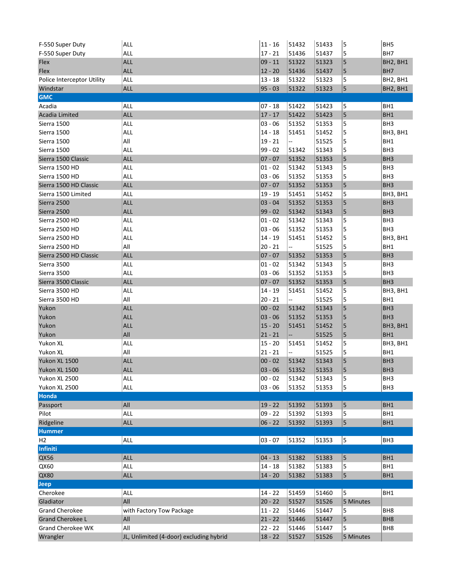| F-550 Super Duty           | <b>ALL</b>                              | $ 11 - 16$ | 51432 | 51433 | 5         | BH <sub>5</sub> |
|----------------------------|-----------------------------------------|------------|-------|-------|-----------|-----------------|
| F-550 Super Duty           | <b>ALL</b>                              | $17 - 21$  | 51436 | 51437 | 5         | BH7             |
| Flex                       | <b>ALL</b>                              | $09 - 11$  | 51322 | 51323 | 5         | BH2, BH1        |
| Flex                       | <b>ALL</b>                              | $12 - 20$  | 51436 | 51437 | 5         | BH7             |
| Police Interceptor Utility | <b>ALL</b>                              | $13 - 18$  | 51322 | 51323 | 5         | BH2, BH1        |
| Windstar                   | <b>ALL</b>                              | $95 - 03$  | 51322 | 51323 | 5         | BH2, BH1        |
| <b>GMC</b>                 |                                         |            |       |       |           |                 |
| Acadia                     | ALL                                     | $07 - 18$  | 51422 | 51423 | 5         | BH1             |
| <b>Acadia Limited</b>      | <b>ALL</b>                              | $17 - 17$  | 51422 | 51423 | 5         | BH1             |
| Sierra 1500                | <b>ALL</b>                              | $03 - 06$  | 51352 | 51353 | 5         | BH <sub>3</sub> |
| Sierra 1500                | <b>ALL</b>                              | $14 - 18$  | 51451 | 51452 | 5         | BH3, BH1        |
| Sierra 1500                | All                                     | $19 - 21$  | --    | 51525 | 5         | BH <sub>1</sub> |
| Sierra 1500                | <b>ALL</b>                              | $99 - 02$  | 51342 | 51343 | 5         | BH <sub>3</sub> |
| Sierra 1500 Classic        | <b>ALL</b>                              | $07 - 07$  | 51352 | 51353 | 5         | BH <sub>3</sub> |
| Sierra 1500 HD             | <b>ALL</b>                              | $01 - 02$  | 51342 | 51343 | 5         | BH <sub>3</sub> |
| Sierra 1500 HD             | <b>ALL</b>                              | $03 - 06$  | 51352 | 51353 | 5         | BH <sub>3</sub> |
| Sierra 1500 HD Classic     | <b>ALL</b>                              | $07 - 07$  | 51352 | 51353 | 5         | BH <sub>3</sub> |
| Sierra 1500 Limited        | <b>ALL</b>                              | $19 - 19$  | 51451 | 51452 | 5         | BH3, BH1        |
| Sierra 2500                | <b>ALL</b>                              | $03 - 04$  | 51352 | 51353 | 5         | BH <sub>3</sub> |
| Sierra 2500                | <b>ALL</b>                              | $99 - 02$  | 51342 | 51343 | 5         | BH <sub>3</sub> |
| Sierra 2500 HD             | <b>ALL</b>                              | $01 - 02$  | 51342 | 51343 | 5         | BH <sub>3</sub> |
| Sierra 2500 HD             | ALL                                     | 03 - 06    | 51352 | 51353 | 5         | BH <sub>3</sub> |
| Sierra 2500 HD             | <b>ALL</b>                              | $14 - 19$  | 51451 | 51452 | 5         | BH3, BH1        |
| Sierra 2500 HD             | All                                     | $20 - 21$  | --    | 51525 | 5         | BH <sub>1</sub> |
| Sierra 2500 HD Classic     | <b>ALL</b>                              | $07 - 07$  | 51352 | 51353 | 5         | BH <sub>3</sub> |
| Sierra 3500                | <b>ALL</b>                              | $01 - 02$  | 51342 | 51343 | 5         | BH <sub>3</sub> |
| Sierra 3500                | <b>ALL</b>                              | $03 - 06$  | 51352 | 51353 | 5         | BH <sub>3</sub> |
| Sierra 3500 Classic        | <b>ALL</b>                              | $07 - 07$  | 51352 | 51353 | 5         | BH <sub>3</sub> |
| Sierra 3500 HD             | <b>ALL</b>                              | $14 - 19$  | 51451 | 51452 | 5         | BH3, BH1        |
| Sierra 3500 HD             | All                                     | $20 - 21$  | Ξ.    | 51525 | 5         | BH1             |
| Yukon                      | <b>ALL</b>                              | $00 - 02$  | 51342 | 51343 | 5         | BH <sub>3</sub> |
| Yukon                      | <b>ALL</b>                              | $03 - 06$  | 51352 | 51353 | 5         | BH <sub>3</sub> |
| Yukon                      | <b>ALL</b>                              | $15 - 20$  | 51451 | 51452 | 5         | BH3, BH1        |
| Yukon                      | All                                     | $21 - 21$  | н.    | 51525 | 5         | BH1             |
| Yukon XL                   | <b>ALL</b>                              | $15 - 20$  | 51451 | 51452 | 5         | BH3, BH1        |
| Yukon XL                   | All                                     | $21 - 21$  | --    | 51525 | 5         | BH1             |
| Yukon XL 1500              | <b>ALL</b>                              | $00 - 02$  | 51342 | 51343 | 5         | BH <sub>3</sub> |
| Yukon XL 1500              | <b>ALL</b>                              | $03 - 06$  | 51352 | 51353 | 5         | BH <sub>3</sub> |
| Yukon XL 2500              | ALL                                     | $00 - 02$  | 51342 | 51343 | 5         | BH <sub>3</sub> |
| Yukon XL 2500              | ALL                                     | $03 - 06$  | 51352 | 51353 | 5         | BH <sub>3</sub> |
| Honda                      |                                         |            |       |       |           |                 |
| Passport                   | All                                     | $19 - 22$  | 51392 | 51393 | 5         | BH <sub>1</sub> |
| Pilot                      | ALL                                     | $09 - 22$  | 51392 | 51393 | 5         | BH1             |
| Ridgeline                  | <b>ALL</b>                              | $06 - 22$  | 51392 | 51393 | 5         | BH1             |
| <b>Hummer</b>              |                                         |            |       |       |           |                 |
| H <sub>2</sub>             | ALL                                     | $03 - 07$  | 51352 | 51353 | 5         | BH <sub>3</sub> |
| Infiniti                   |                                         |            |       |       |           |                 |
| QX56                       | <b>ALL</b>                              | $04 - 13$  | 51382 | 51383 | 5         | BH1             |
| QX60                       | <b>ALL</b>                              | $14 - 18$  | 51382 | 51383 | 5         | BH <sub>1</sub> |
| <b>QX80</b>                | <b>ALL</b>                              | $14 - 20$  | 51382 | 51383 | 5         | BH1             |
| <b>Jeep</b>                |                                         |            |       |       |           |                 |
| Cherokee                   | ALL                                     | $14 - 22$  | 51459 | 51460 | 5         | BH <sub>1</sub> |
| Gladiator                  | All                                     | $20 - 22$  | 51527 | 51526 | 5 Minutes |                 |
| <b>Grand Cherokee</b>      | with Factory Tow Package                | $11 - 22$  | 51446 | 51447 | 5         | BH <sub>8</sub> |
| <b>Grand Cherokee L</b>    | All                                     | $21 - 22$  | 51446 | 51447 | 5         | BH <sub>8</sub> |
| Grand Cherokee WK          | All                                     | $22 - 22$  | 51446 | 51447 | 5         | BH <sub>8</sub> |
| Wrangler                   | JL, Unlimited (4-door) excluding hybrid | $18 - 22$  | 51527 | 51526 | 5 Minutes |                 |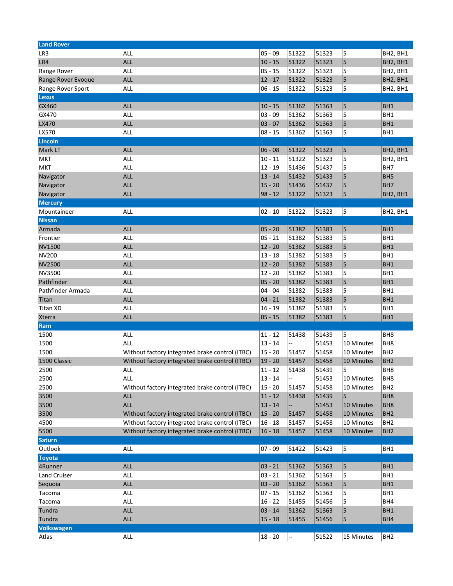| <b>Land Rover</b>   |                                                 |           |                          |       |            |                 |
|---------------------|-------------------------------------------------|-----------|--------------------------|-------|------------|-----------------|
| LR3                 | ALL                                             | $05 - 09$ | 51322                    | 51323 | 5          | BH2, BH1        |
| LR4                 | <b>ALL</b>                                      | $10 - 15$ | 51322                    | 51323 | 5          | BH2, BH1        |
| Range Rover         | ALL                                             | $05 - 15$ | 51322                    | 51323 | 5          | BH2, BH1        |
| Range Rover Evoque  | <b>ALL</b>                                      | $12 - 17$ | 51322                    | 51323 | 5          | BH2, BH1        |
| Range Rover Sport   | <b>ALL</b>                                      | $06 - 15$ | 51322                    | 51323 | 5          | BH2, BH1        |
| <b>Lexus</b>        |                                                 |           |                          |       |            |                 |
| GX460               | <b>ALL</b>                                      | $10 - 15$ | 51362                    | 51363 | 5          | BH <sub>1</sub> |
| GX470               | ALL                                             | $03 - 09$ | 51362                    | 51363 | 5          | BH1             |
| LX470               | <b>ALL</b>                                      | $03 - 07$ | 51362                    | 51363 | 5          | BH <sub>1</sub> |
| LX570               | <b>ALL</b>                                      | $08 - 15$ | 51362                    | 51363 | 5          | BH1             |
| <b>Lincoln</b>      |                                                 |           |                          |       |            |                 |
| Mark LT             | <b>ALL</b>                                      | $06 - 08$ | 51322                    | 51323 | 5          | BH2, BH1        |
| MKT                 | ALL                                             | $10 - 11$ | 51322                    | 51323 | 5          | BH2, BH1        |
| <b>MKT</b>          | ALL                                             | $12 - 19$ | 51436                    | 51437 | 5          | BH7             |
| Navigator           | <b>ALL</b>                                      | $13 - 14$ | 51432                    | 51433 | 5          | BH <sub>5</sub> |
| Navigator           | <b>ALL</b>                                      | $15 - 20$ | 51436                    | 51437 | 5          | BH7             |
| Navigator           | <b>ALL</b>                                      | $98 - 12$ | 51322                    | 51323 | 5          | BH2, BH1        |
| <b>Mercury</b>      |                                                 |           |                          |       |            |                 |
| Mountaineer         | ALL                                             | $02 - 10$ | 51322                    | 51323 | 5          | BH2, BH1        |
| <b>Nissan</b>       |                                                 |           |                          |       |            |                 |
| Armada              | <b>ALL</b>                                      | $05 - 20$ | 51382                    | 51383 | 5          | BH <sub>1</sub> |
| Frontier            | ALL                                             | $05 - 21$ | 51382                    | 51383 | 5          | BH1             |
| <b>NV1500</b>       | <b>ALL</b>                                      | $12 - 20$ | 51382                    | 51383 | 5          | BH <sub>1</sub> |
| <b>NV200</b>        | ALL                                             | $13 - 18$ | 51382                    | 51383 | 5          | BH1             |
| <b>NV2500</b>       | <b>ALL</b>                                      | $12 - 20$ | 51382                    | 51383 | 5          | BH <sub>1</sub> |
| <b>NV3500</b>       | ALL                                             | $12 - 20$ | 51382                    | 51383 | 5          | BH1             |
| Pathfinder          | <b>ALL</b>                                      | $05 - 20$ | 51382                    | 51383 | 5          | BH <sub>1</sub> |
| Pathfinder Armada   | ALL                                             | $04 - 04$ | 51382                    | 51383 | 5          | BH1             |
| Titan               | <b>ALL</b>                                      | $04 - 21$ | 51382                    | 51383 | 5          | BH <sub>1</sub> |
| <b>Titan XD</b>     | ALL                                             | $16 - 19$ | 51382                    | 51383 | 5          | BH1             |
| <b>Xterra</b>       | <b>ALL</b>                                      | $05 - 15$ | 51382                    | 51383 | 5          | BH1             |
| Ram                 |                                                 |           |                          |       |            |                 |
| 1500                | ALL                                             | $11 - 12$ | 51438                    | 51439 | 5          | BH <sub>8</sub> |
| 1500                | ALL                                             | $13 - 14$ | --                       | 51453 | 10 Minutes | BH <sub>8</sub> |
| 1500                | Without factory integrated brake control (ITBC) | $15 - 20$ | 51457                    | 51458 | 10 Minutes | BH <sub>2</sub> |
| 1500 Classic        | Without factory integrated brake control (ITBC) | $19 - 20$ | 51457                    | 51458 | 10 Minutes | BH <sub>2</sub> |
| 2500                | <b>ALL</b>                                      | $11 - 12$ | 51438                    | 51439 | 5          | BH <sub>8</sub> |
| 2500                | <b>ALL</b>                                      | $13 - 14$ | $\overline{\phantom{a}}$ | 51453 | 10 Minutes | BH <sub>8</sub> |
| 2500                | Without factory integrated brake control (ITBC) | $15 - 20$ | 51457                    | 51458 | 10 Minutes | BH <sub>2</sub> |
| 3500                | <b>ALL</b>                                      | $11 - 12$ | 51438                    | 51439 | 5          | BH <sub>8</sub> |
| 3500                | <b>ALL</b>                                      | $13 - 14$ |                          | 51453 | 10 Minutes | BH <sub>8</sub> |
| 3500                | Without factory integrated brake control (ITBC) | $15 - 20$ | 51457                    | 51458 | 10 Minutes | BH <sub>2</sub> |
| 4500                | Without factory integrated brake control (ITBC) | $16 - 18$ | 51457                    | 51458 | 10 Minutes | BH <sub>2</sub> |
| 5500                | Without factory integrated brake control (ITBC) | $16 - 18$ | 51457                    | 51458 | 10 Minutes | BH <sub>2</sub> |
| <b>Saturn</b>       |                                                 |           |                          |       |            |                 |
| Outlook             | <b>ALL</b>                                      | $07 - 09$ | 51422                    | 51423 | 5          | BH1             |
| <b>Toyota</b>       |                                                 |           |                          |       |            |                 |
| 4Runner             | <b>ALL</b>                                      | $03 - 21$ | 51362                    | 51363 | 5          | BH <sub>1</sub> |
| <b>Land Cruiser</b> | <b>ALL</b>                                      | $03 - 21$ | 51362                    | 51363 | 5          | BH <sub>1</sub> |
| Sequoia             | <b>ALL</b>                                      | $03 - 20$ | 51362                    | 51363 | 5          | BH1             |
| Tacoma              | <b>ALL</b>                                      | $07 - 15$ | 51362                    | 51363 | 5          | BH1             |
| Tacoma              | <b>ALL</b>                                      | $16 - 22$ | 51455                    | 51456 | 5          | BH4             |
| Tundra              | <b>ALL</b>                                      | $03 - 14$ | 51362                    | 51363 | 5          | BH1             |
| Tundra              | <b>ALL</b>                                      | $15 - 18$ | 51455                    | 51456 | 5          | BH4             |
| <b>Volkswagen</b>   |                                                 |           |                          |       |            |                 |
| Atlas               | ALL                                             | $18 - 20$ | --                       | 51522 | 15 Minutes | BH <sub>2</sub> |